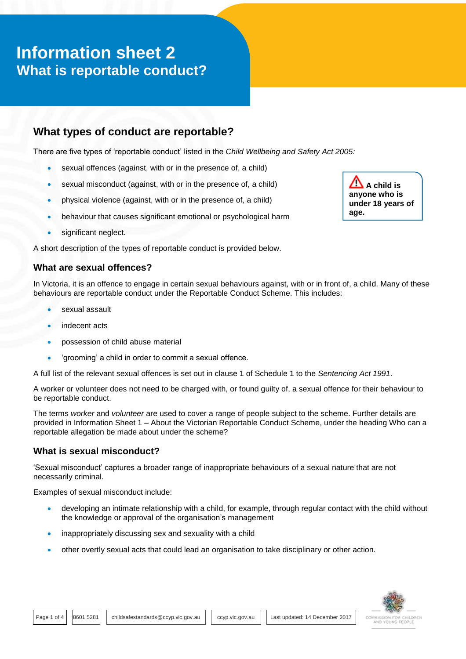# **Information sheet 2 What is reportable conduct?**

## **What types of conduct are reportable?**

There are five types of 'reportable conduct' listed in the *Child Wellbeing and Safety Act 2005:*

- sexual offences (against, with or in the presence of, a child)
- sexual misconduct (against, with or in the presence of, a child)
- physical violence (against, with or in the presence of, a child)
- behaviour that causes significant emotional or psychological harm
- significant neglect.

A short description of the types of reportable conduct is provided below.

## **What are sexual offences?**

In Victoria, it is an offence to engage in certain sexual behaviours against, with or in front of, a child. Many of these behaviours are reportable conduct under the Reportable Conduct Scheme. This includes:

- sexual assault
- indecent acts
- possession of child abuse material
- 'grooming' a child in order to commit a sexual offence.

A full list of the relevant sexual offences is set out in clause 1 of Schedule 1 to the *Sentencing Act 1991*.

A worker or volunteer does not need to be charged with, or found guilty of, a sexual offence for their behaviour to be reportable conduct.

The terms *worker* and *volunteer* are used to cover a range of people subject to the scheme. Further details are provided in Information Sheet 1 – About the Victorian Reportable Conduct Scheme, under the heading Who can a reportable allegation be made about under the scheme?

## **What is sexual misconduct?**

'Sexual misconduct' captures a broader range of inappropriate behaviours of a sexual nature that are not necessarily criminal.

Examples of sexual misconduct include:

- developing an intimate relationship with a child, for example, through regular contact with the child without the knowledge or approval of the organisation's management
- inappropriately discussing sex and sexuality with a child
- other overtly sexual acts that could lead an organisation to take disciplinary or other action.



 $\mathbf{A}$  A child is **anyone who is under 18 years of age.**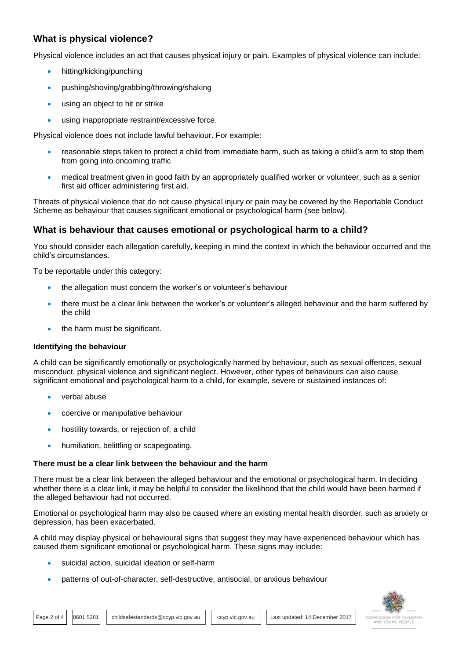## **What is physical violence?**

Physical violence includes an act that causes physical injury or pain. Examples of physical violence can include:

- hitting/kicking/punching
- pushing/shoving/grabbing/throwing/shaking
- using an object to hit or strike
- using inappropriate restraint/excessive force.

Physical violence does not include lawful behaviour. For example:

- reasonable steps taken to protect a child from immediate harm, such as taking a child's arm to stop them from going into oncoming traffic
- medical treatment given in good faith by an appropriately qualified worker or volunteer, such as a senior first aid officer administering first aid.

Threats of physical violence that do not cause physical injury or pain may be covered by the Reportable Conduct Scheme as behaviour that causes significant emotional or psychological harm (see below).

## **What is behaviour that causes emotional or psychological harm to a child?**

You should consider each allegation carefully, keeping in mind the context in which the behaviour occurred and the child's circumstances.

To be reportable under this category:

- the allegation must concern the worker's or volunteer's behaviour
- there must be a clear link between the worker's or volunteer's alleged behaviour and the harm suffered by the child
- the harm must be significant.

#### **Identifying the behaviour**

A child can be significantly emotionally or psychologically harmed by behaviour, such as sexual offences, sexual misconduct, physical violence and significant neglect. However, other types of behaviours can also cause significant emotional and psychological harm to a child, for example, severe or sustained instances of:

- verbal abuse
- coercive or manipulative behaviour
- hostility towards, or rejection of, a child
- humiliation, belittling or scapegoating.

#### **There must be a clear link between the behaviour and the harm**

There must be a clear link between the alleged behaviour and the emotional or psychological harm. In deciding whether there is a clear link, it may be helpful to consider the likelihood that the child would have been harmed if the alleged behaviour had not occurred.

Emotional or psychological harm may also be caused where an existing mental health disorder, such as anxiety or depression, has been exacerbated.

A child may display physical or behavioural signs that suggest they may have experienced behaviour which has caused them significant emotional or psychological harm. These signs may include:

- suicidal action, suicidal ideation or self-harm
- patterns of out-of-character, self-destructive, antisocial, or anxious behaviour



Page 2 of 4 | 8601 5281 | childsafestandards@ccyp.vic.gov.au | ccyp.vic.gov.au | Last updated: 14 December 2017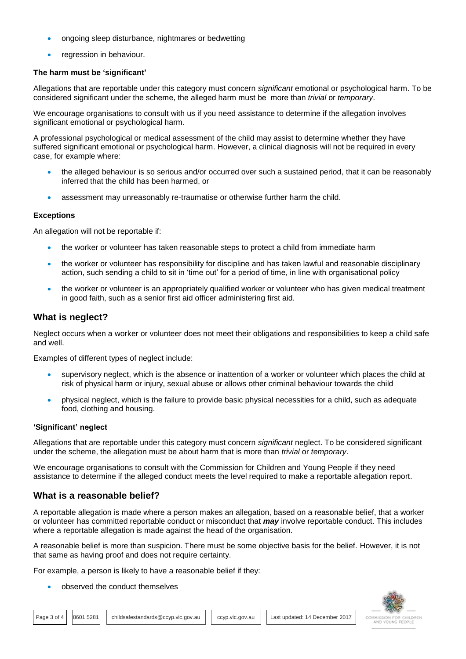- ongoing sleep disturbance, nightmares or bedwetting
- regression in behaviour.

#### **The harm must be 'significant'**

Allegations that are reportable under this category must concern *significant* emotional or psychological harm. To be considered significant under the scheme, the alleged harm must be more than *trivial* or *temporary*.

We encourage organisations to consult with us if you need assistance to determine if the allegation involves significant emotional or psychological harm.

A professional psychological or medical assessment of the child may assist to determine whether they have suffered significant emotional or psychological harm. However, a clinical diagnosis will not be required in every case, for example where:

- the alleged behaviour is so serious and/or occurred over such a sustained period, that it can be reasonably inferred that the child has been harmed, or
- assessment may unreasonably re-traumatise or otherwise further harm the child.

#### **Exceptions**

An allegation will not be reportable if:

- the worker or volunteer has taken reasonable steps to protect a child from immediate harm
- the worker or volunteer has responsibility for discipline and has taken lawful and reasonable disciplinary action, such sending a child to sit in 'time out' for a period of time, in line with organisational policy
- the worker or volunteer is an appropriately qualified worker or volunteer who has given medical treatment in good faith, such as a senior first aid officer administering first aid.

## **What is neglect?**

Neglect occurs when a worker or volunteer does not meet their obligations and responsibilities to keep a child safe and well.

Examples of different types of neglect include:

- supervisory neglect, which is the absence or inattention of a worker or volunteer which places the child at risk of physical harm or injury, sexual abuse or allows other criminal behaviour towards the child
- physical neglect, which is the failure to provide basic physical necessities for a child, such as adequate food, clothing and housing.

#### **'Significant' neglect**

Allegations that are reportable under this category must concern *significant* neglect. To be considered significant under the scheme, the allegation must be about harm that is more than *trivial* or *temporary*.

We encourage organisations to consult with the Commission for Children and Young People if they need assistance to determine if the alleged conduct meets the level required to make a reportable allegation report.

## **What is a reasonable belief?**

A reportable allegation is made where a person makes an allegation, based on a reasonable belief, that a worker or volunteer has committed reportable conduct or misconduct that *may* involve reportable conduct. This includes where a reportable allegation is made against the head of the organisation.

A reasonable belief is more than suspicion. There must be some objective basis for the belief. However, it is not that same as having proof and does not require certainty.

For example, a person is likely to have a reasonable belief if they:

observed the conduct themselves

Page 3 of 4 | 8601 5281 | childsafestandards@ccyp.vic.gov.au | ccyp.vic.gov.au | Last updated: 14 December 2017